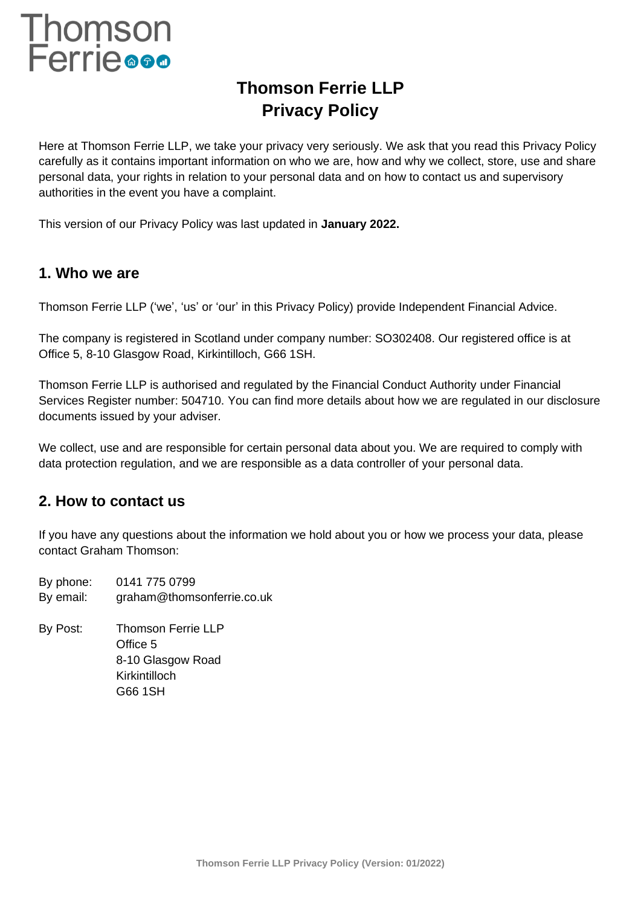# Thomson<br>Ferrie<sup>®®®</sup>

# **Thomson Ferrie LLP Privacy Policy**

Here at Thomson Ferrie LLP, we take your privacy very seriously. We ask that you read this Privacy Policy carefully as it contains important information on who we are, how and why we collect, store, use and share personal data, your rights in relation to your personal data and on how to contact us and supervisory authorities in the event you have a complaint.

This version of our Privacy Policy was last updated in **January 2022.**

## **1. Who we are**

Thomson Ferrie LLP ('we', 'us' or 'our' in this Privacy Policy) provide Independent Financial Advice.

The company is registered in Scotland under company number: SO302408. Our registered office is at Office 5, 8-10 Glasgow Road, Kirkintilloch, G66 1SH.

Thomson Ferrie LLP is authorised and regulated by the Financial Conduct Authority under Financial Services Register number: 504710. You can find more details about how we are regulated in our disclosure documents issued by your adviser.

We collect, use and are responsible for certain personal data about you. We are required to comply with data protection regulation, and we are responsible as a data controller of your personal data.

## **2. How to contact us**

If you have any questions about the information we hold about you or how we process your data, please contact Graham Thomson:

By phone: 0141 775 0799 By email: graham@thomsonferrie.co.uk

By Post: Thomson Ferrie LLP Office 5 8-10 Glasgow Road Kirkintilloch G66 1SH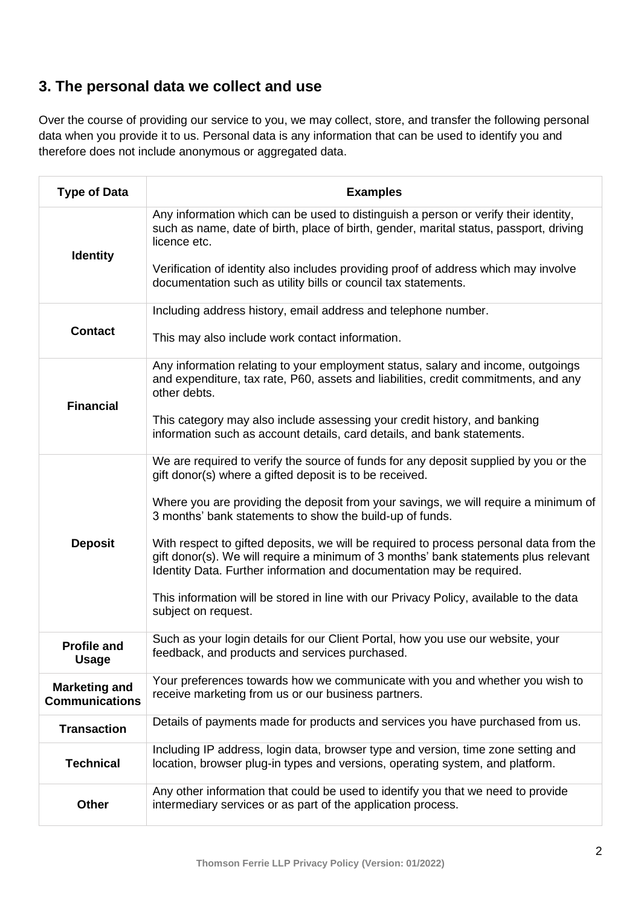## **3. The personal data we collect and use**

Over the course of providing our service to you, we may collect, store, and transfer the following personal data when you provide it to us. Personal data is any information that can be used to identify you and therefore does not include anonymous or aggregated data.

| <b>Type of Data</b>                           | <b>Examples</b>                                                                                                                                                                                                                                                                                                                                                                                                                                                                                                                                                                                                                                                               |
|-----------------------------------------------|-------------------------------------------------------------------------------------------------------------------------------------------------------------------------------------------------------------------------------------------------------------------------------------------------------------------------------------------------------------------------------------------------------------------------------------------------------------------------------------------------------------------------------------------------------------------------------------------------------------------------------------------------------------------------------|
| <b>Identity</b>                               | Any information which can be used to distinguish a person or verify their identity,<br>such as name, date of birth, place of birth, gender, marital status, passport, driving<br>licence etc.<br>Verification of identity also includes providing proof of address which may involve<br>documentation such as utility bills or council tax statements.                                                                                                                                                                                                                                                                                                                        |
| <b>Contact</b>                                | Including address history, email address and telephone number.<br>This may also include work contact information.                                                                                                                                                                                                                                                                                                                                                                                                                                                                                                                                                             |
| <b>Financial</b>                              | Any information relating to your employment status, salary and income, outgoings<br>and expenditure, tax rate, P60, assets and liabilities, credit commitments, and any<br>other debts.<br>This category may also include assessing your credit history, and banking<br>information such as account details, card details, and bank statements.                                                                                                                                                                                                                                                                                                                               |
| <b>Deposit</b>                                | We are required to verify the source of funds for any deposit supplied by you or the<br>gift donor(s) where a gifted deposit is to be received.<br>Where you are providing the deposit from your savings, we will require a minimum of<br>3 months' bank statements to show the build-up of funds.<br>With respect to gifted deposits, we will be required to process personal data from the<br>gift donor(s). We will require a minimum of 3 months' bank statements plus relevant<br>Identity Data. Further information and documentation may be required.<br>This information will be stored in line with our Privacy Policy, available to the data<br>subject on request. |
| <b>Profile and</b><br><b>Usage</b>            | Such as your login details for our Client Portal, how you use our website, your<br>feedback, and products and services purchased.                                                                                                                                                                                                                                                                                                                                                                                                                                                                                                                                             |
| <b>Marketing and</b><br><b>Communications</b> | Your preferences towards how we communicate with you and whether you wish to<br>receive marketing from us or our business partners.                                                                                                                                                                                                                                                                                                                                                                                                                                                                                                                                           |
| <b>Transaction</b>                            | Details of payments made for products and services you have purchased from us.                                                                                                                                                                                                                                                                                                                                                                                                                                                                                                                                                                                                |
| <b>Technical</b>                              | Including IP address, login data, browser type and version, time zone setting and<br>location, browser plug-in types and versions, operating system, and platform.                                                                                                                                                                                                                                                                                                                                                                                                                                                                                                            |
| <b>Other</b>                                  | Any other information that could be used to identify you that we need to provide<br>intermediary services or as part of the application process.                                                                                                                                                                                                                                                                                                                                                                                                                                                                                                                              |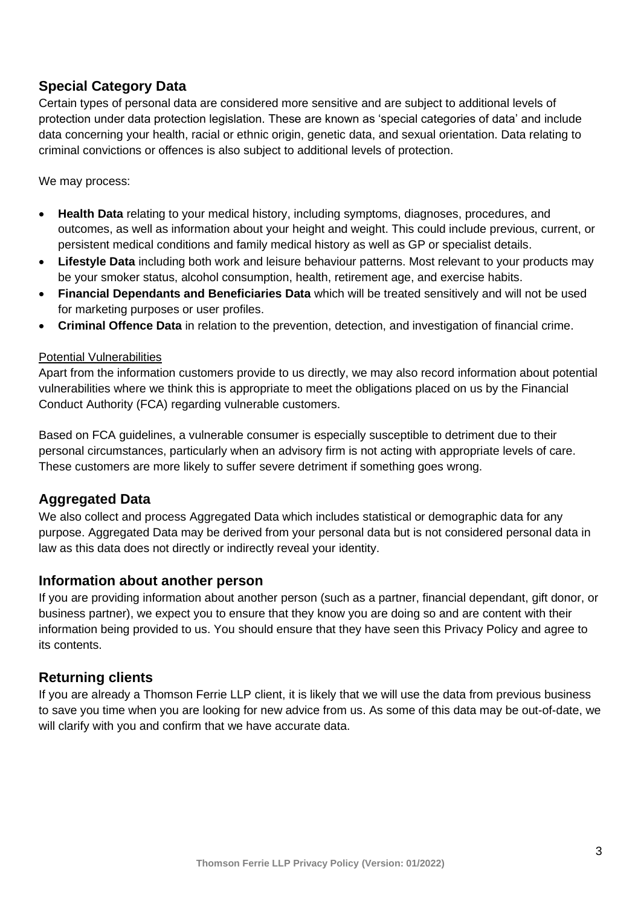## **Special Category Data**

Certain types of personal data are considered more sensitive and are subject to additional levels of protection under data protection legislation. These are known as 'special categories of data' and include data concerning your health, racial or ethnic origin, genetic data, and sexual orientation. Data relating to criminal convictions or offences is also subject to additional levels of protection.

We may process:

- **Health Data** relating to your medical history, including symptoms, diagnoses, procedures, and outcomes, as well as information about your height and weight. This could include previous, current, or persistent medical conditions and family medical history as well as GP or specialist details.
- **Lifestyle Data** including both work and leisure behaviour patterns. Most relevant to your products may be your smoker status, alcohol consumption, health, retirement age, and exercise habits.
- **Financial Dependants and Beneficiaries Data** which will be treated sensitively and will not be used for marketing purposes or user profiles.
- **Criminal Offence Data** in relation to the prevention, detection, and investigation of financial crime.

#### Potential Vulnerabilities

Apart from the information customers provide to us directly, we may also record information about potential vulnerabilities where we think this is appropriate to meet the obligations placed on us by the Financial Conduct Authority (FCA) regarding vulnerable customers.

Based on FCA guidelines, a vulnerable consumer is especially susceptible to detriment due to their personal circumstances, particularly when an advisory firm is not acting with appropriate levels of care. These customers are more likely to suffer severe detriment if something goes wrong.

#### **Aggregated Data**

We also collect and process Aggregated Data which includes statistical or demographic data for any purpose. Aggregated Data may be derived from your personal data but is not considered personal data in law as this data does not directly or indirectly reveal your identity.

#### **Information about another person**

If you are providing information about another person (such as a partner, financial dependant, gift donor, or business partner), we expect you to ensure that they know you are doing so and are content with their information being provided to us. You should ensure that they have seen this Privacy Policy and agree to its contents.

#### **Returning clients**

If you are already a Thomson Ferrie LLP client, it is likely that we will use the data from previous business to save you time when you are looking for new advice from us. As some of this data may be out-of-date, we will clarify with you and confirm that we have accurate data.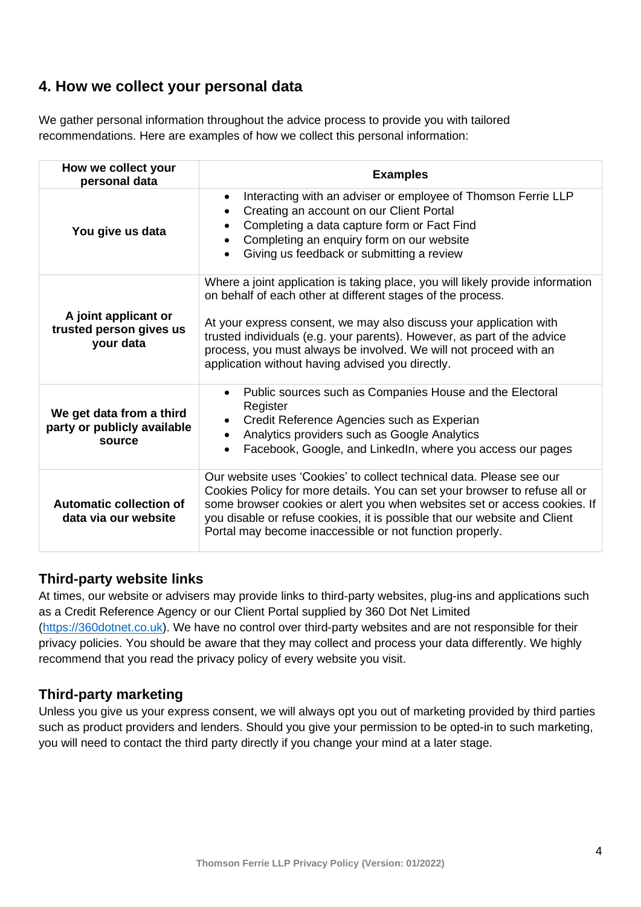## **4. How we collect your personal data**

We gather personal information throughout the advice process to provide you with tailored recommendations. Here are examples of how we collect this personal information:

| How we collect your<br>personal data                              | <b>Examples</b>                                                                                                                                                                                                                                                                                                                                                                                                         |  |
|-------------------------------------------------------------------|-------------------------------------------------------------------------------------------------------------------------------------------------------------------------------------------------------------------------------------------------------------------------------------------------------------------------------------------------------------------------------------------------------------------------|--|
| You give us data                                                  | Interacting with an adviser or employee of Thomson Ferrie LLP<br>Creating an account on our Client Portal<br>$\bullet$<br>Completing a data capture form or Fact Find<br>$\bullet$<br>Completing an enquiry form on our website<br>Giving us feedback or submitting a review                                                                                                                                            |  |
| A joint applicant or<br>trusted person gives us<br>your data      | Where a joint application is taking place, you will likely provide information<br>on behalf of each other at different stages of the process.<br>At your express consent, we may also discuss your application with<br>trusted individuals (e.g. your parents). However, as part of the advice<br>process, you must always be involved. We will not proceed with an<br>application without having advised you directly. |  |
| We get data from a third<br>party or publicly available<br>source | Public sources such as Companies House and the Electoral<br>Register<br>Credit Reference Agencies such as Experian<br>$\bullet$<br>Analytics providers such as Google Analytics<br>Facebook, Google, and LinkedIn, where you access our pages                                                                                                                                                                           |  |
| Automatic collection of<br>data via our website                   | Our website uses 'Cookies' to collect technical data. Please see our<br>Cookies Policy for more details. You can set your browser to refuse all or<br>some browser cookies or alert you when websites set or access cookies. If<br>you disable or refuse cookies, it is possible that our website and Client<br>Portal may become inaccessible or not function properly.                                                |  |

#### **Third-party website links**

At times, our website or advisers may provide links to third-party websites, plug-ins and applications such as a Credit Reference Agency or our Client Portal supplied by 360 Dot Net Limited [\(https://360dotnet.co.uk\)](https://360dotnet.co.uk/). We have no control over third-party websites and are not responsible for their privacy policies. You should be aware that they may collect and process your data differently. We highly recommend that you read the privacy policy of every website you visit.

#### **Third-party marketing**

Unless you give us your express consent, we will always opt you out of marketing provided by third parties such as product providers and lenders. Should you give your permission to be opted-in to such marketing, you will need to contact the third party directly if you change your mind at a later stage.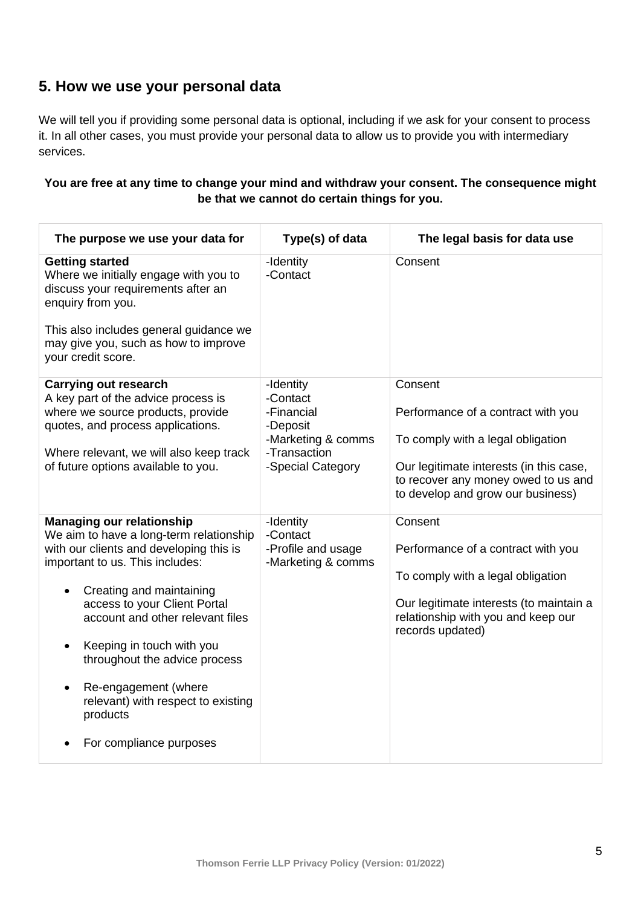## **5. How we use your personal data**

We will tell you if providing some personal data is optional, including if we ask for your consent to process it. In all other cases, you must provide your personal data to allow us to provide you with intermediary services.

#### **You are free at any time to change your mind and withdraw your consent. The consequence might be that we cannot do certain things for you.**

| The purpose we use your data for                                                                                                                                                                                                                                                                                                                                                                                                                                    | Type(s) of data                                                                                            | The legal basis for data use                                                                                                                                                                              |
|---------------------------------------------------------------------------------------------------------------------------------------------------------------------------------------------------------------------------------------------------------------------------------------------------------------------------------------------------------------------------------------------------------------------------------------------------------------------|------------------------------------------------------------------------------------------------------------|-----------------------------------------------------------------------------------------------------------------------------------------------------------------------------------------------------------|
| <b>Getting started</b><br>Where we initially engage with you to<br>discuss your requirements after an<br>enquiry from you.<br>This also includes general guidance we<br>may give you, such as how to improve<br>your credit score.                                                                                                                                                                                                                                  | -Identity<br>-Contact                                                                                      | Consent                                                                                                                                                                                                   |
| <b>Carrying out research</b><br>A key part of the advice process is<br>where we source products, provide<br>quotes, and process applications.<br>Where relevant, we will also keep track<br>of future options available to you.                                                                                                                                                                                                                                     | -Identity<br>-Contact<br>-Financial<br>-Deposit<br>-Marketing & comms<br>-Transaction<br>-Special Category | Consent<br>Performance of a contract with you<br>To comply with a legal obligation<br>Our legitimate interests (in this case,<br>to recover any money owed to us and<br>to develop and grow our business) |
| <b>Managing our relationship</b><br>We aim to have a long-term relationship<br>with our clients and developing this is<br>important to us. This includes:<br>Creating and maintaining<br>$\bullet$<br>access to your Client Portal<br>account and other relevant files<br>Keeping in touch with you<br>$\bullet$<br>throughout the advice process<br>Re-engagement (where<br>$\bullet$<br>relevant) with respect to existing<br>products<br>For compliance purposes | -Identity<br>-Contact<br>-Profile and usage<br>-Marketing & comms                                          | Consent<br>Performance of a contract with you<br>To comply with a legal obligation<br>Our legitimate interests (to maintain a<br>relationship with you and keep our<br>records updated)                   |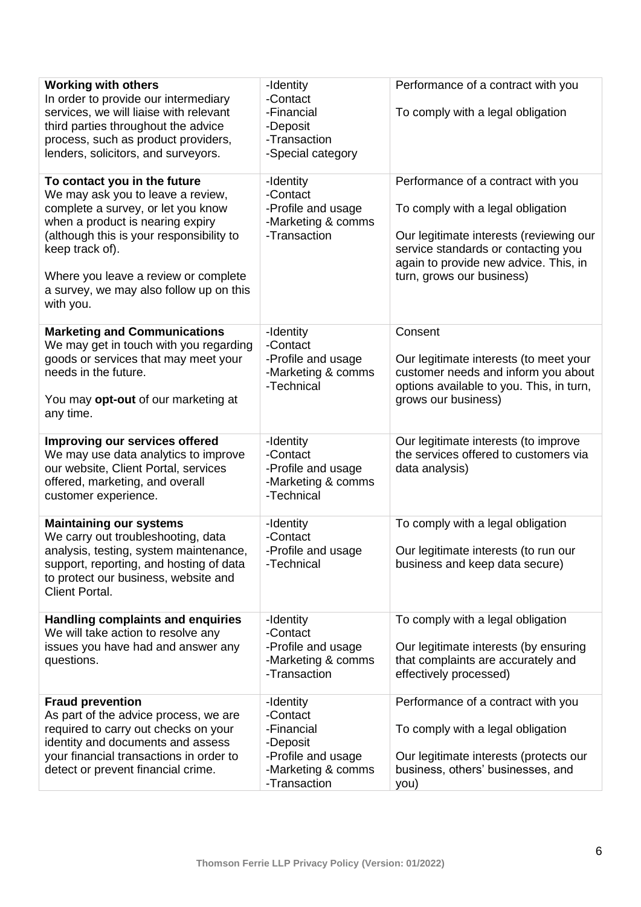| <b>Working with others</b><br>In order to provide our intermediary<br>services, we will liaise with relevant<br>third parties throughout the advice<br>process, such as product providers,<br>lenders, solicitors, and surveyors.                                                                          | -Identity<br>-Contact<br>-Financial<br>-Deposit<br>-Transaction<br>-Special category                        | Performance of a contract with you<br>To comply with a legal obligation                                                                                                                                                         |
|------------------------------------------------------------------------------------------------------------------------------------------------------------------------------------------------------------------------------------------------------------------------------------------------------------|-------------------------------------------------------------------------------------------------------------|---------------------------------------------------------------------------------------------------------------------------------------------------------------------------------------------------------------------------------|
| To contact you in the future<br>We may ask you to leave a review,<br>complete a survey, or let you know<br>when a product is nearing expiry<br>(although this is your responsibility to<br>keep track of).<br>Where you leave a review or complete<br>a survey, we may also follow up on this<br>with you. | -Identity<br>-Contact<br>-Profile and usage<br>-Marketing & comms<br>-Transaction                           | Performance of a contract with you<br>To comply with a legal obligation<br>Our legitimate interests (reviewing our<br>service standards or contacting you<br>again to provide new advice. This, in<br>turn, grows our business) |
| <b>Marketing and Communications</b><br>We may get in touch with you regarding<br>goods or services that may meet your<br>needs in the future.<br>You may <b>opt-out</b> of our marketing at<br>any time.                                                                                                   | -Identity<br>-Contact<br>-Profile and usage<br>-Marketing & comms<br>-Technical                             | Consent<br>Our legitimate interests (to meet your<br>customer needs and inform you about<br>options available to you. This, in turn,<br>grows our business)                                                                     |
| Improving our services offered<br>We may use data analytics to improve<br>our website, Client Portal, services<br>offered, marketing, and overall<br>customer experience.                                                                                                                                  | -Identity<br>-Contact<br>-Profile and usage<br>-Marketing & comms<br>-Technical                             | Our legitimate interests (to improve<br>the services offered to customers via<br>data analysis)                                                                                                                                 |
| <b>Maintaining our systems</b><br>We carry out troubleshooting, data<br>analysis, testing, system maintenance,<br>support, reporting, and hosting of data<br>to protect our business, website and<br><b>Client Portal.</b>                                                                                 | -Identity<br>-Contact<br>-Profile and usage<br>-Technical                                                   | To comply with a legal obligation<br>Our legitimate interests (to run our<br>business and keep data secure)                                                                                                                     |
| <b>Handling complaints and enquiries</b><br>We will take action to resolve any<br>issues you have had and answer any<br>questions.                                                                                                                                                                         | -Identity<br>-Contact<br>-Profile and usage<br>-Marketing & comms<br>-Transaction                           | To comply with a legal obligation<br>Our legitimate interests (by ensuring<br>that complaints are accurately and<br>effectively processed)                                                                                      |
| <b>Fraud prevention</b><br>As part of the advice process, we are<br>required to carry out checks on your<br>identity and documents and assess<br>your financial transactions in order to<br>detect or prevent financial crime.                                                                             | -Identity<br>-Contact<br>-Financial<br>-Deposit<br>-Profile and usage<br>-Marketing & comms<br>-Transaction | Performance of a contract with you<br>To comply with a legal obligation<br>Our legitimate interests (protects our<br>business, others' businesses, and<br>you)                                                                  |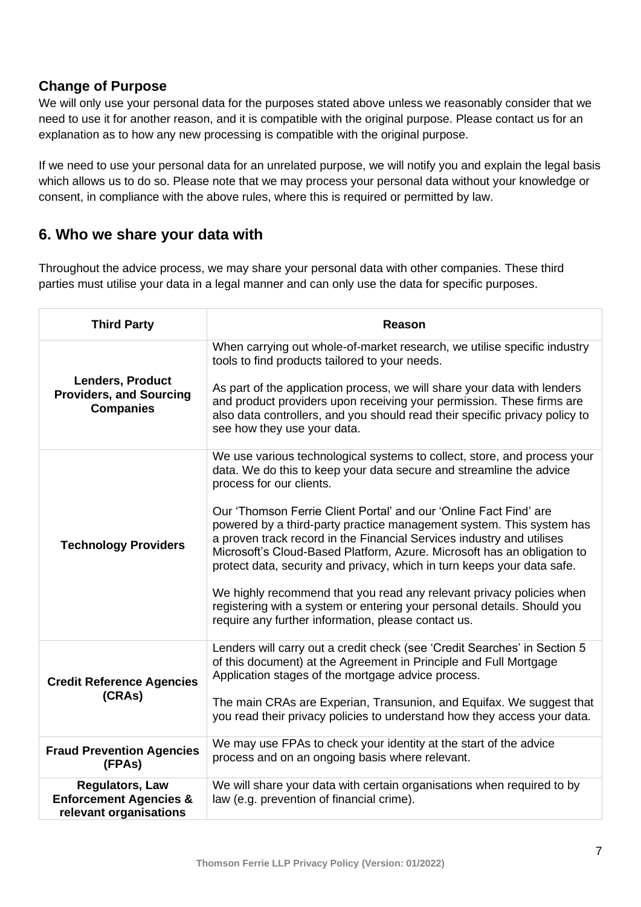#### **Change of Purpose**

We will only use your personal data for the purposes stated above unless we reasonably consider that we need to use it for another reason, and it is compatible with the original purpose. Please contact us for an explanation as to how any new processing is compatible with the original purpose.

If we need to use your personal data for an unrelated purpose, we will notify you and explain the legal basis which allows us to do so. Please note that we may process your personal data without your knowledge or consent, in compliance with the above rules, where this is required or permitted by law.

## **6. Who we share your data with**

Throughout the advice process, we may share your personal data with other companies. These third parties must utilise your data in a legal manner and can only use the data for specific purposes.

| <b>Third Party</b>                                                                    | <b>Reason</b>                                                                                                                                                                                                                                                                                                                                                                                                                                                                                                                                                                                                                                                                                                                                                     |
|---------------------------------------------------------------------------------------|-------------------------------------------------------------------------------------------------------------------------------------------------------------------------------------------------------------------------------------------------------------------------------------------------------------------------------------------------------------------------------------------------------------------------------------------------------------------------------------------------------------------------------------------------------------------------------------------------------------------------------------------------------------------------------------------------------------------------------------------------------------------|
| Lenders, Product<br><b>Providers, and Sourcing</b><br><b>Companies</b>                | When carrying out whole-of-market research, we utilise specific industry<br>tools to find products tailored to your needs.<br>As part of the application process, we will share your data with lenders<br>and product providers upon receiving your permission. These firms are<br>also data controllers, and you should read their specific privacy policy to<br>see how they use your data.                                                                                                                                                                                                                                                                                                                                                                     |
| <b>Technology Providers</b>                                                           | We use various technological systems to collect, store, and process your<br>data. We do this to keep your data secure and streamline the advice<br>process for our clients.<br>Our 'Thomson Ferrie Client Portal' and our 'Online Fact Find' are<br>powered by a third-party practice management system. This system has<br>a proven track record in the Financial Services industry and utilises<br>Microsoft's Cloud-Based Platform, Azure. Microsoft has an obligation to<br>protect data, security and privacy, which in turn keeps your data safe.<br>We highly recommend that you read any relevant privacy policies when<br>registering with a system or entering your personal details. Should you<br>require any further information, please contact us. |
| <b>Credit Reference Agencies</b><br>(CRAs)                                            | Lenders will carry out a credit check (see 'Credit Searches' in Section 5<br>of this document) at the Agreement in Principle and Full Mortgage<br>Application stages of the mortgage advice process.<br>The main CRAs are Experian, Transunion, and Equifax. We suggest that<br>you read their privacy policies to understand how they access your data.                                                                                                                                                                                                                                                                                                                                                                                                          |
| <b>Fraud Prevention Agencies</b><br>(FPAs)                                            | We may use FPAs to check your identity at the start of the advice<br>process and on an ongoing basis where relevant.                                                                                                                                                                                                                                                                                                                                                                                                                                                                                                                                                                                                                                              |
| <b>Regulators, Law</b><br><b>Enforcement Agencies &amp;</b><br>relevant organisations | We will share your data with certain organisations when required to by<br>law (e.g. prevention of financial crime).                                                                                                                                                                                                                                                                                                                                                                                                                                                                                                                                                                                                                                               |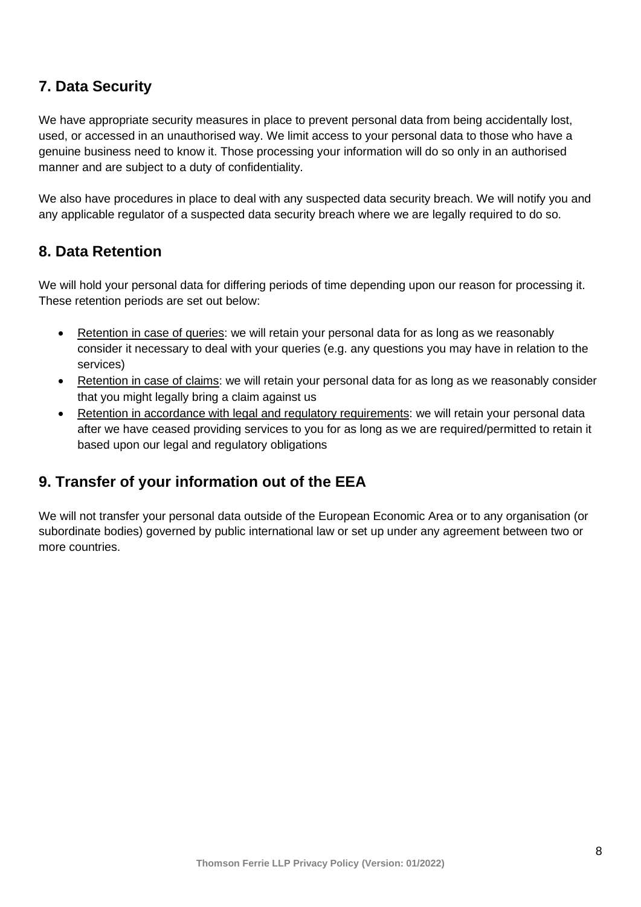## **7. Data Security**

We have appropriate security measures in place to prevent personal data from being accidentally lost, used, or accessed in an unauthorised way. We limit access to your personal data to those who have a genuine business need to know it. Those processing your information will do so only in an authorised manner and are subject to a duty of confidentiality.

We also have procedures in place to deal with any suspected data security breach. We will notify you and any applicable regulator of a suspected data security breach where we are legally required to do so.

## **8. Data Retention**

We will hold your personal data for differing periods of time depending upon our reason for processing it. These retention periods are set out below:

- Retention in case of queries: we will retain your personal data for as long as we reasonably consider it necessary to deal with your queries (e.g. any questions you may have in relation to the services)
- Retention in case of claims: we will retain your personal data for as long as we reasonably consider that you might legally bring a claim against us
- Retention in accordance with legal and regulatory requirements: we will retain your personal data after we have ceased providing services to you for as long as we are required/permitted to retain it based upon our legal and regulatory obligations

## **9. Transfer of your information out of the EEA**

We will not transfer your personal data outside of the European Economic Area or to any organisation (or subordinate bodies) governed by public international law or set up under any agreement between two or more countries.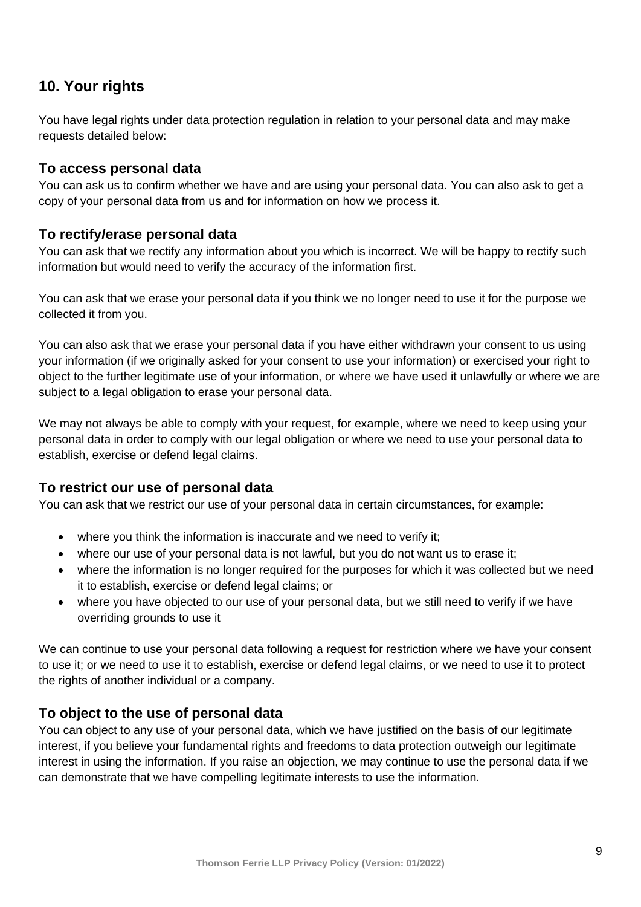## **10. Your rights**

You have legal rights under data protection regulation in relation to your personal data and may make requests detailed below:

#### **To access personal data**

You can ask us to confirm whether we have and are using your personal data. You can also ask to get a copy of your personal data from us and for information on how we process it.

#### **To rectify/erase personal data**

You can ask that we rectify any information about you which is incorrect. We will be happy to rectify such information but would need to verify the accuracy of the information first.

You can ask that we erase your personal data if you think we no longer need to use it for the purpose we collected it from you.

You can also ask that we erase your personal data if you have either withdrawn your consent to us using your information (if we originally asked for your consent to use your information) or exercised your right to object to the further legitimate use of your information, or where we have used it unlawfully or where we are subject to a legal obligation to erase your personal data.

We may not always be able to comply with your request, for example, where we need to keep using your personal data in order to comply with our legal obligation or where we need to use your personal data to establish, exercise or defend legal claims.

#### **To restrict our use of personal data**

You can ask that we restrict our use of your personal data in certain circumstances, for example:

- where you think the information is inaccurate and we need to verify it;
- where our use of your personal data is not lawful, but you do not want us to erase it:
- where the information is no longer required for the purposes for which it was collected but we need it to establish, exercise or defend legal claims; or
- where you have objected to our use of your personal data, but we still need to verify if we have overriding grounds to use it

We can continue to use your personal data following a request for restriction where we have your consent to use it; or we need to use it to establish, exercise or defend legal claims, or we need to use it to protect the rights of another individual or a company.

#### **To object to the use of personal data**

You can object to any use of your personal data, which we have justified on the basis of our legitimate interest, if you believe your fundamental rights and freedoms to data protection outweigh our legitimate interest in using the information. If you raise an objection, we may continue to use the personal data if we can demonstrate that we have compelling legitimate interests to use the information.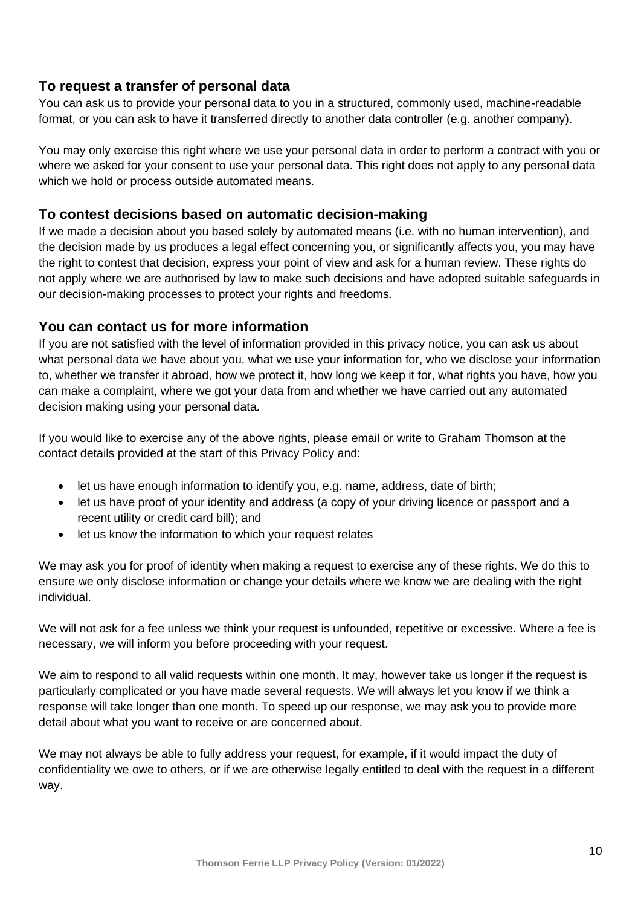## **To request a transfer of personal data**

You can ask us to provide your personal data to you in a structured, commonly used, machine-readable format, or you can ask to have it transferred directly to another data controller (e.g. another company).

You may only exercise this right where we use your personal data in order to perform a contract with you or where we asked for your consent to use your personal data. This right does not apply to any personal data which we hold or process outside automated means.

#### **To contest decisions based on automatic decision-making**

If we made a decision about you based solely by automated means (i.e. with no human intervention), and the decision made by us produces a legal effect concerning you, or significantly affects you, you may have the right to contest that decision, express your point of view and ask for a human review. These rights do not apply where we are authorised by law to make such decisions and have adopted suitable safeguards in our decision-making processes to protect your rights and freedoms.

#### **You can contact us for more information**

If you are not satisfied with the level of information provided in this privacy notice, you can ask us about what personal data we have about you, what we use your information for, who we disclose your information to, whether we transfer it abroad, how we protect it, how long we keep it for, what rights you have, how you can make a complaint, where we got your data from and whether we have carried out any automated decision making using your personal data.

If you would like to exercise any of the above rights, please email or write to Graham Thomson at the contact details provided at the start of this Privacy Policy and:

- let us have enough information to identify you, e.g. name, address, date of birth;
- let us have proof of your identity and address (a copy of your driving licence or passport and a recent utility or credit card bill); and
- let us know the information to which your request relates

We may ask you for proof of identity when making a request to exercise any of these rights. We do this to ensure we only disclose information or change your details where we know we are dealing with the right individual.

We will not ask for a fee unless we think your request is unfounded, repetitive or excessive. Where a fee is necessary, we will inform you before proceeding with your request.

We aim to respond to all valid requests within one month. It may, however take us longer if the request is particularly complicated or you have made several requests. We will always let you know if we think a response will take longer than one month. To speed up our response, we may ask you to provide more detail about what you want to receive or are concerned about.

We may not always be able to fully address your request, for example, if it would impact the duty of confidentiality we owe to others, or if we are otherwise legally entitled to deal with the request in a different way.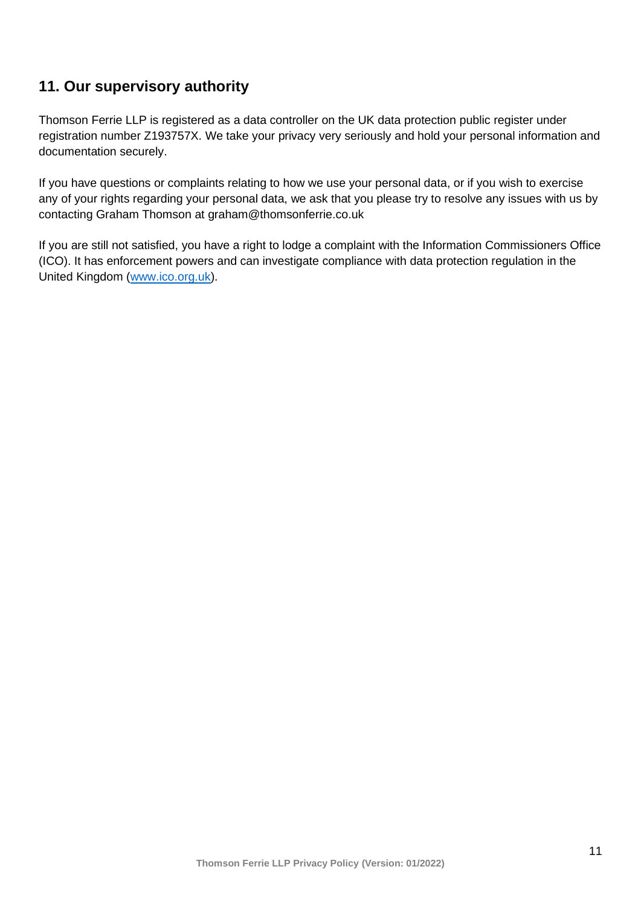## **11. Our supervisory authority**

Thomson Ferrie LLP is registered as a data controller on the UK data protection public register under registration number Z193757X. We take your privacy very seriously and hold your personal information and documentation securely.

If you have questions or complaints relating to how we use your personal data, or if you wish to exercise any of your rights regarding your personal data, we ask that you please try to resolve any issues with us by contacting Graham Thomson at graham@thomsonferrie.co.uk

If you are still not satisfied, you have a right to lodge a complaint with the Information Commissioners Office (ICO). It has enforcement powers and can investigate compliance with data protection regulation in the United Kingdom [\(www.ico.org.uk\)](http://www.ico.org.uk/).